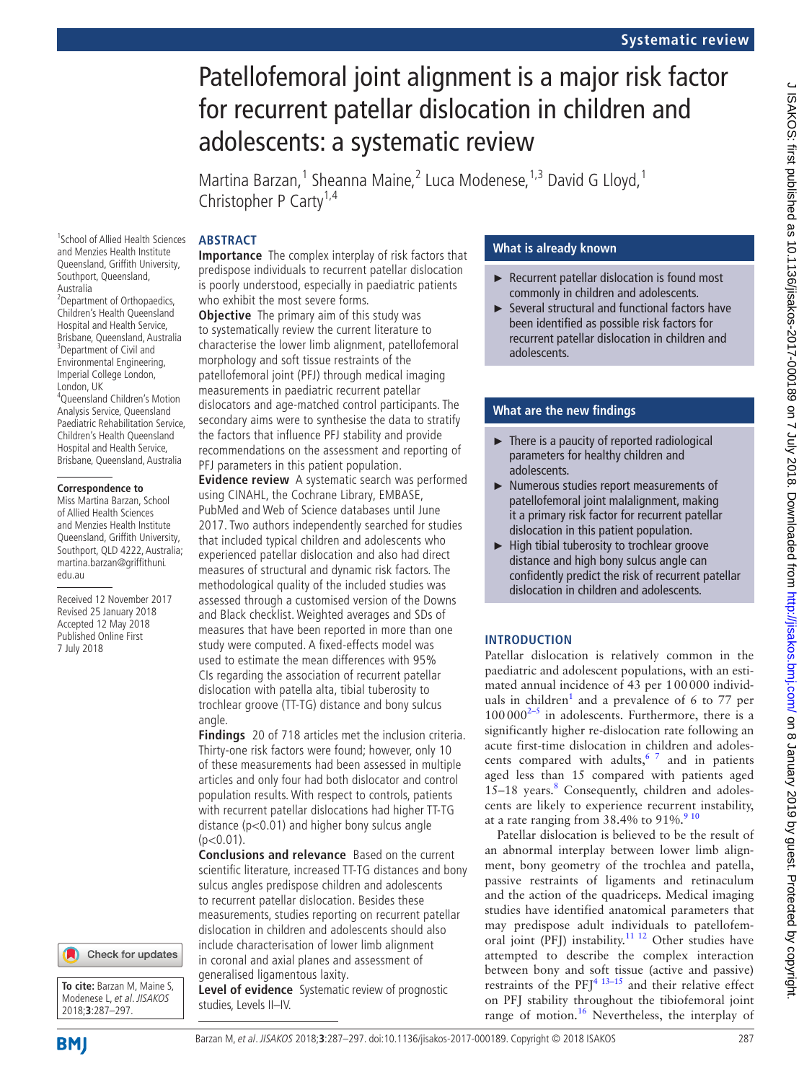# Patellofemoral joint alignment is a major risk factor for recurrent patellar dislocation in children and adolescents: a systematic review

Martina Barzan,<sup>1</sup> Sheanna Maine,<sup>2</sup> Luca Modenese,<sup>1,3</sup> David G Lloyd,<sup>1</sup> Christopher P Carty<sup>1,4</sup>

## **Abstract**

1 School of Allied Health Sciences and Menzies Health Institute Queensland, Griffith University, Southport, Queensland,

<sup>2</sup>Department of Orthopaedics, Children's Health Queensland Hospital and Health Service, Brisbane, Queensland, Australia <sup>3</sup>Department of Civil and Environmental Engineering, Imperial College London,

4 Queensland Children's Motion Analysis Service, Queensland Paediatric Rehabilitation Service, Children's Health Queensland Hospital and Health Service, Brisbane, Queensland, Australia

**Correspondence to** Miss Martina Barzan, School of Allied Health Sciences and Menzies Health Institute Queensland, Griffith University, Southport, QLD 4222, Australia; martina.barzan@griffithuni.

Received 12 November 2017 Revised 25 January 2018 Accepted 12 May 2018 Published Online First 7 July 2018

edu.au

Australia

London, UK

**Importance** The complex interplay of risk factors that predispose individuals to recurrent patellar dislocation is poorly understood, especially in paediatric patients who exhibit the most severe forms.

**Objective** The primary aim of this study was to systematically review the current literature to characterise the lower limb alignment, patellofemoral morphology and soft tissue restraints of the patellofemoral joint (PFJ) through medical imaging measurements in paediatric recurrent patellar dislocators and age-matched control participants. The secondary aims were to synthesise the data to stratify the factors that influence PFJ stability and provide recommendations on the assessment and reporting of PFJ parameters in this patient population.

**Evidence review** A systematic search was performed using CINAHL, the Cochrane Library, EMBASE, PubMed and Web of Science databases until June 2017. Two authors independently searched for studies that included typical children and adolescents who experienced patellar dislocation and also had direct measures of structural and dynamic risk factors. The methodological quality of the included studies was assessed through a customised version of the Downs and Black checklist. Weighted averages and SDs of measures that have been reported in more than one study were computed. A fixed-effects model was used to estimate the mean differences with 95% CIs regarding the association of recurrent patellar dislocation with patella alta, tibial tuberosity to trochlear groove (TT-TG) distance and bony sulcus angle.

**Findings** 20 of 718 articles met the inclusion criteria. Thirty-one risk factors were found; however, only 10 of these measurements had been assessed in multiple articles and only four had both dislocator and control population results. With respect to controls, patients with recurrent patellar dislocations had higher TT-TG distance (p<0.01) and higher bony sulcus angle  $(p<0.01)$ .

**Conclusions and relevance** Based on the current scientific literature, increased TT-TG distances and bony sulcus angles predispose children and adolescents to recurrent patellar dislocation. Besides these measurements, studies reporting on recurrent patellar dislocation in children and adolescents should also include characterisation of lower limb alignment in coronal and axial planes and assessment of generalised ligamentous laxity.

**Level of evidence** Systematic review of prognostic studies, Levels II–IV.

## **What is already known**

- ► Recurrent patellar dislocation is found most commonly in children and adolescents.
- ► Several structural and functional factors have been identified as possible risk factors for recurrent patellar dislocation in children and adolescents.

## **What are the new findings**

- $\blacktriangleright$  There is a paucity of reported radiological parameters for healthy children and adolescents.
- ► Numerous studies report measurements of patellofemoral joint malalignment, making it a primary risk factor for recurrent patellar dislocation in this patient population.
- ► High tibial tuberosity to trochlear groove distance and high bony sulcus angle can confidently predict the risk of recurrent patellar dislocation in children and adolescents.

# **Introduction**

Patellar dislocation is relatively common in the paediatric and adolescent populations, with an estimated annual incidence of 43 per 100000 individ-uals in children<sup>[1](#page-9-0)</sup> and a prevalence of 6 to 77 per  $100000^{2-5}$  in adolescents. Furthermore, there is a significantly higher re-dislocation rate following an acute first-time dislocation in children and adolescents compared with adults,  $67$  and in patients aged less than 15 compared with patients aged 15-1[8](#page-9-3) years.<sup>8</sup> Consequently, children and adolescents are likely to experience recurrent instability, at a rate ranging from  $38.4\%$  to  $91\%$ .  $910$ 

Patellar dislocation is believed to be the result of an abnormal interplay between lower limb alignment, bony geometry of the trochlea and patella, passive restraints of ligaments and retinaculum and the action of the quadriceps. Medical imaging studies have identified anatomical parameters that may predispose adult individuals to patellofemoral joint (PFJ) instability.<sup>11 12</sup> Other studies have attempted to describe the complex interaction between bony and soft tissue (active and passive) restraints of the  $PFI^{4}$ <sup>13–15</sup> and their relative effect on PFJ stability throughout the tibiofemoral joint range of motion.<sup>16</sup> Nevertheless, the interplay of

Check for updates

**To cite:** Barzan M, Maine S, Modenese L, et al. JISAKOS 2018;**3**:287–297.

**BMI**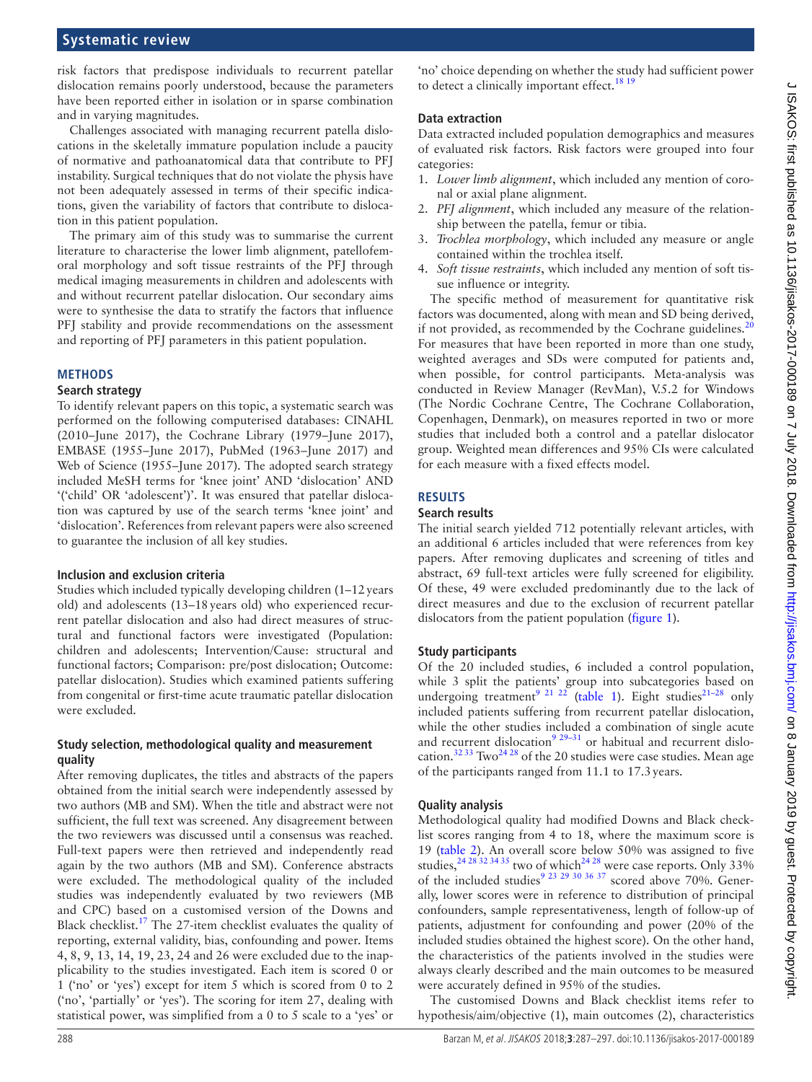risk factors that predispose individuals to recurrent patellar dislocation remains poorly understood, because the parameters have been reported either in isolation or in sparse combination and in varying magnitudes.

Challenges associated with managing recurrent patella dislocations in the skeletally immature population include a paucity of normative and pathoanatomical data that contribute to PFJ instability. Surgical techniques that do not violate the physis have not been adequately assessed in terms of their specific indications, given the variability of factors that contribute to dislocation in this patient population.

The primary aim of this study was to summarise the current literature to characterise the lower limb alignment, patellofemoral morphology and soft tissue restraints of the PFJ through medical imaging measurements in children and adolescents with and without recurrent patellar dislocation. Our secondary aims were to synthesise the data to stratify the factors that influence PFJ stability and provide recommendations on the assessment and reporting of PFJ parameters in this patient population.

#### **Methods**

## **Search strategy**

To identify relevant papers on this topic, a systematic search was performed on the following computerised databases: CINAHL (2010–June 2017), the Cochrane Library (1979–June 2017), EMBASE (1955–June 2017), PubMed (1963–June 2017) and Web of Science (1955–June 2017). The adopted search strategy included MeSH terms for 'knee joint' AND 'dislocation' AND '('child' OR 'adolescent')'. It was ensured that patellar dislocation was captured by use of the search terms 'knee joint' and 'dislocation'. References from relevant papers were also screened to guarantee the inclusion of all key studies.

#### **Inclusion and exclusion criteria**

Studies which included typically developing children (1–12years old) and adolescents (13–18years old) who experienced recurrent patellar dislocation and also had direct measures of structural and functional factors were investigated (Population: children and adolescents; Intervention/Cause: structural and functional factors; Comparison: pre/post dislocation; Outcome: patellar dislocation). Studies which examined patients suffering from congenital or first-time acute traumatic patellar dislocation were excluded.

## **Study selection, methodological quality and measurement quality**

After removing duplicates, the titles and abstracts of the papers obtained from the initial search were independently assessed by two authors (MB and SM). When the title and abstract were not sufficient, the full text was screened. Any disagreement between the two reviewers was discussed until a consensus was reached. Full-text papers were then retrieved and independently read again by the two authors (MB and SM). Conference abstracts were excluded. The methodological quality of the included studies was independently evaluated by two reviewers (MB and CPC) based on a customised version of the Downs and Black checklist.[17](#page-9-8) The 27-item checklist evaluates the quality of reporting, external validity, bias, confounding and power. Items 4, 8, 9, 13, 14, 19, 23, 24 and 26 were excluded due to the inapplicability to the studies investigated. Each item is scored 0 or 1 ('no' or 'yes') except for item 5 which is scored from 0 to 2 ('no', 'partially' or 'yes'). The scoring for item 27, dealing with statistical power, was simplified from a 0 to 5 scale to a 'yes' or

'no' choice depending on whether the study had sufficient power to detect a clinically important effect.<sup>18 19</sup>

## **Data extraction**

Data extracted included population demographics and measures of evaluated risk factors. Risk factors were grouped into four categories:

- 1. *Lower limb alignment*, which included any mention of coronal or axial plane alignment.
- 2. *PFJ alignment*, which included any measure of the relationship between the patella, femur or tibia.
- 3. *Trochlea morphology*, which included any measure or angle contained within the trochlea itself.
- 4. *Soft tissue restraints*, which included any mention of soft tissue influence or integrity.

The specific method of measurement for quantitative risk factors was documented, along with mean and SD being derived, if not provided, as recommended by the Cochrane guidelines. $20$ For measures that have been reported in more than one study, weighted averages and SDs were computed for patients and, when possible, for control participants. Meta-analysis was conducted in Review Manager (RevMan), V.5.2 for Windows (The Nordic Cochrane Centre, The Cochrane Collaboration, Copenhagen, Denmark), on measures reported in two or more studies that included both a control and a patellar dislocator group. Weighted mean differences and 95% CIs were calculated for each measure with a fixed effects model.

#### **Results**

#### **Search results**

The initial search yielded 712 potentially relevant articles, with an additional 6 articles included that were references from key papers. After removing duplicates and screening of titles and abstract, 69 full-text articles were fully screened for eligibility. Of these, 49 were excluded predominantly due to the lack of direct measures and due to the exclusion of recurrent patellar dislocators from the patient population ([figure](#page-2-0) 1).

## **Study participants**

Of the 20 included studies, 6 included a control population, while 3 split the patients' group into subcategories based on undergoing treatment<sup>[9 21 22](#page-9-4)</sup> [\(table](#page-3-0) 1). Eight studies<sup>21-28</sup> only included patients suffering from recurrent patellar dislocation, while the other studies included a combination of single acute and recurrent dislocation<sup>9 29-31</sup> or habitual and recurrent dislo-cation.<sup>[32 33](#page-10-0)</sup> Two<sup>[24 28](#page-9-12)</sup> of the 20 studies were case studies. Mean age of the participants ranged from 11.1 to 17.3years.

#### **Quality analysis**

Methodological quality had modified Downs and Black checklist scores ranging from 4 to 18, where the maximum score is 19 [\(table](#page-4-0) 2). An overall score below 50% was assigned to five studies,  $34^{28}$  32 34 35 two of which<sup>24 28</sup> were case reports. Only 33% of the included studies<sup>9</sup> <sup>23 29 30 36 37</sup> scored above 70%. Generally, lower scores were in reference to distribution of principal confounders, sample representativeness, length of follow-up of patients, adjustment for confounding and power (20% of the included studies obtained the highest score). On the other hand, the characteristics of the patients involved in the studies were always clearly described and the main outcomes to be measured were accurately defined in 95% of the studies.

The customised Downs and Black checklist items refer to hypothesis/aim/objective (1), main outcomes (2), characteristics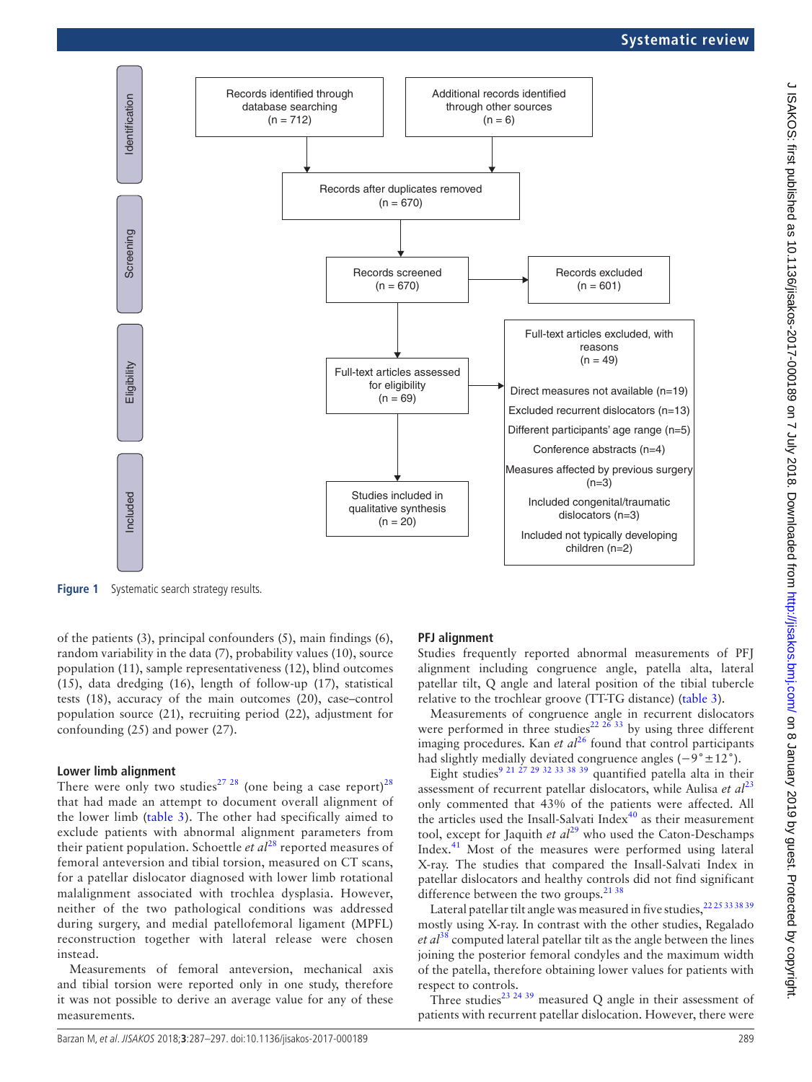

<span id="page-2-0"></span>**Figure 1** Systematic search strategy results.

of the patients (3), principal confounders (5), main findings (6), random variability in the data (7), probability values (10), source population (11), sample representativeness (12), blind outcomes (15), data dredging (16), length of follow-up (17), statistical tests (18), accuracy of the main outcomes (20), case–control population source (21), recruiting period (22), adjustment for confounding (25) and power (27).

#### **Lower limb alignment**

There were only two studies<sup>[27 28](#page-10-1)</sup> (one being a case report)<sup>[28](#page-10-2)</sup> that had made an attempt to document overall alignment of the lower limb ([table](#page-5-0) 3). The other had specifically aimed to exclude patients with abnormal alignment parameters from their patient population. Schoettle *et al*[28](#page-10-2) reported measures of femoral anteversion and tibial torsion, measured on CT scans, for a patellar dislocator diagnosed with lower limb rotational malalignment associated with trochlea dysplasia. However, neither of the two pathological conditions was addressed during surgery, and medial patellofemoral ligament (MPFL) reconstruction together with lateral release were chosen instead.

Measurements of femoral anteversion, mechanical axis and tibial torsion were reported only in one study, therefore it was not possible to derive an average value for any of these measurements.

## **PFJ alignment**

Studies frequently reported abnormal measurements of PFJ alignment including congruence angle, patella alta, lateral patellar tilt, Q angle and lateral position of the tibial tubercle relative to the trochlear groove (TT-TG distance) ([table](#page-5-0) 3).

Measurements of congruence angle in recurrent dislocators were performed in three studies<sup>22 26</sup><sup>33</sup> by using three different imaging procedures. Kan *et al*<sup>[26](#page-10-3)</sup> found that control participants had slightly medially deviated congruence angles (−9˚±12˚).

Eight studies<sup>9 21 27 29 32 33 38 39</sup> quantified patella alta in their assessment of recurrent patellar dislocators, while Aulisa *et al*<sup>[23](#page-9-14)</sup> only commented that 43% of the patients were affected. All the articles used the Insall-Salvati Index $40$  as their measurement tool, except for Jaquith *et al*<sup>29</sup> who used the Caton-Deschamps Index.<sup>41</sup> Most of the measures were performed using lateral X-ray. The studies that compared the Insall-Salvati Index in patellar dislocators and healthy controls did not find significant difference between the two groups. $2138$ 

Lateral patellar tilt angle was measured in five studies, 2225 33 38 39 mostly using X-ray. In contrast with the other studies, Regalado et al<sup>[38](#page-10-7)</sup> computed lateral patellar tilt as the angle between the lines joining the posterior femoral condyles and the maximum width of the patella, therefore obtaining lower values for patients with respect to controls.

Three studies<sup>23</sup>  $24\frac{39}{9}$  measured Q angle in their assessment of patients with recurrent patellar dislocation. However, there were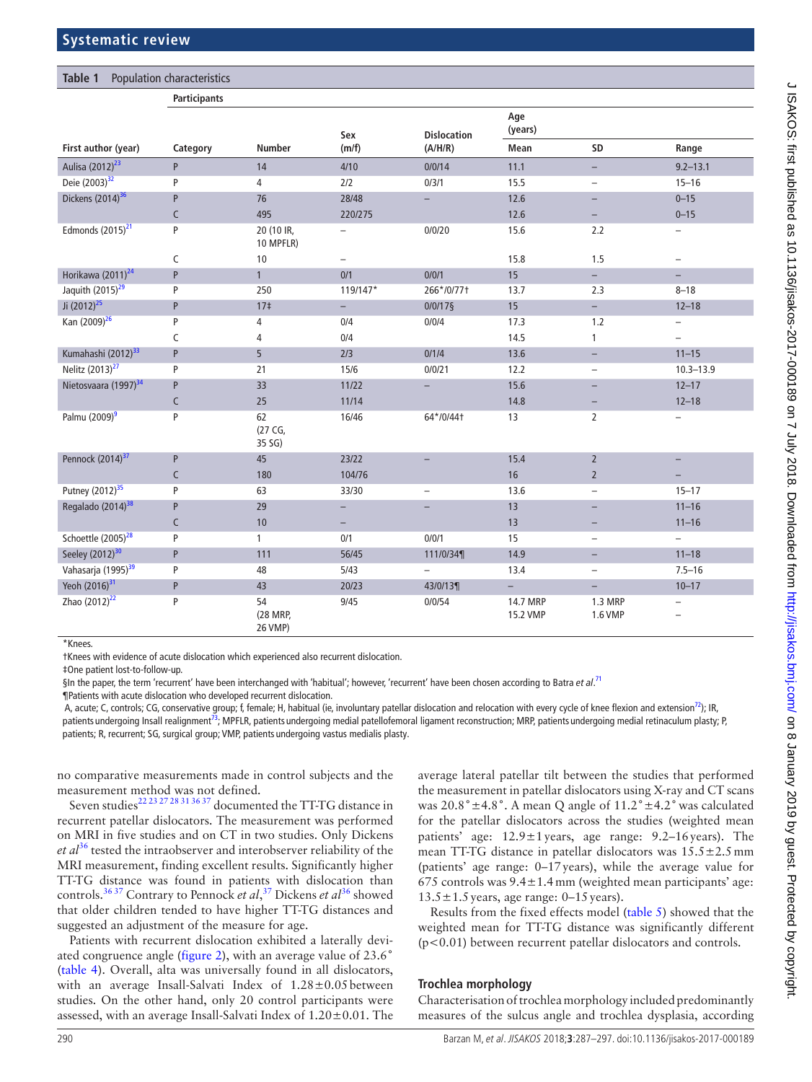<span id="page-3-0"></span>

| Table 1<br>Population characteristics |                     |                           |                          |                          |                          |                          |                          |  |  |  |  |
|---------------------------------------|---------------------|---------------------------|--------------------------|--------------------------|--------------------------|--------------------------|--------------------------|--|--|--|--|
|                                       | <b>Participants</b> |                           |                          |                          |                          |                          |                          |  |  |  |  |
|                                       |                     |                           | Sex                      | <b>Dislocation</b>       | Age<br>(years)           |                          |                          |  |  |  |  |
| First author (year)                   | Category            | <b>Number</b>             | (m/f)                    | (A/H/R)                  | Mean                     | SD                       | Range                    |  |  |  |  |
| Aulisa (2012) <sup>23</sup>           | P                   | 14                        | 4/10                     | 0/0/14                   | 11.1                     | $\overline{\phantom{0}}$ | $9.2 - 13.1$             |  |  |  |  |
| Deie (2003) <sup>32</sup>             | P                   | 4                         | $2/2$                    | 0/3/1                    | 15.5                     | $\qquad \qquad -$        | $15 - 16$                |  |  |  |  |
| Dickens $(2014)^{36}$                 | P                   | 76                        | 28/48                    |                          | 12.6                     | $\overline{a}$           | $0 - 15$                 |  |  |  |  |
|                                       | C                   | 495                       | 220/275                  |                          | 12.6                     | $\overline{\phantom{0}}$ | $0 - 15$                 |  |  |  |  |
| Edmonds $(2015)^{21}$                 | P                   | 20 (10 IR,<br>10 MPFLR)   | $\qquad \qquad -$        | 0/0/20                   | 15.6                     | 2.2                      |                          |  |  |  |  |
|                                       | C                   | 10                        | $\overline{\phantom{0}}$ |                          | 15.8                     | 1.5                      | $\overline{\phantom{0}}$ |  |  |  |  |
| Horikawa (2011) <sup>24</sup>         | P                   | $\mathbf{1}$              | 0/1                      | 0/0/1                    | 15                       | $\overline{\phantom{a}}$ | $\overline{\phantom{0}}$ |  |  |  |  |
| Jaquith (2015) <sup>29</sup>          | P                   | 250                       | 119/147*                 | 266*/0/771               | 13.7                     | 2.3                      | $8 - 18$                 |  |  |  |  |
| Ji (2012) <sup>25</sup>               | P                   | 17 <sup>‡</sup>           | $\equiv$                 | $0/0/17\S$               | $15$                     | $\overline{\phantom{0}}$ | $12 - 18$                |  |  |  |  |
| Kan (2009) <sup>26</sup>              | P                   | 4                         | 0/4                      | 0/0/4                    | 17.3                     | 1.2                      | $\qquad \qquad -$        |  |  |  |  |
|                                       | C                   | 4                         | 0/4                      |                          | 14.5                     | $\mathbf{1}$             | $\qquad \qquad -$        |  |  |  |  |
| Kumahashi (2012) <sup>33</sup>        | P                   | 5                         | 2/3                      | 0/1/4                    | 13.6                     | $\qquad \qquad -$        | $11 - 15$                |  |  |  |  |
| Nelitz (2013) <sup>27</sup>           | P                   | 21                        | 15/6                     | 0/0/21                   | 12.2                     | $\qquad \qquad -$        | $10.3 - 13.9$            |  |  |  |  |
| Nietosvaara (1997) <sup>34</sup>      | P                   | 33                        | 11/22                    | $\overline{\phantom{0}}$ | 15.6                     | $\overline{a}$           | $12 - 17$                |  |  |  |  |
|                                       | C                   | 25                        | 11/14                    |                          | 14.8                     | $\qquad \qquad -$        | $12 - 18$                |  |  |  |  |
| Palmu (2009) <sup>9</sup>             | P                   | 62<br>(27 CG,<br>35 SG)   | 16/46                    | 64*/0/44†                | 13                       | $\overline{2}$           |                          |  |  |  |  |
| Pennock (2014) <sup>37</sup>          | P                   | 45                        | 23/22                    |                          | 15.4                     | $\overline{2}$           |                          |  |  |  |  |
|                                       | C                   | 180                       | 104/76                   |                          | 16                       | $\overline{2}$           |                          |  |  |  |  |
| Putney (2012) <sup>35</sup>           | P                   | 63                        | 33/30                    | -                        | 13.6                     | $\overline{a}$           | $15 - 17$                |  |  |  |  |
| Regalado (2014) <sup>38</sup>         | P                   | 29                        | $\overline{\phantom{0}}$ | $\overline{\phantom{0}}$ | 13                       | -                        | $11 - 16$                |  |  |  |  |
|                                       | C                   | 10                        | $\qquad \qquad -$        |                          | 13                       | -                        | $11 - 16$                |  |  |  |  |
| Schoettle (2005) <sup>28</sup>        | P                   | $\mathbf{1}$              | 0/1                      | 0/0/1                    | 15                       | $\overline{\phantom{0}}$ | $\overline{a}$           |  |  |  |  |
| Seeley (2012) <sup>30</sup>           | P                   | 111                       | 56/45                    | 111/0/34¶                | 14.9                     | $\overline{\phantom{a}}$ | $11 - 18$                |  |  |  |  |
| Vahasarja (1995) <sup>39</sup>        | P                   | 48                        | 5/43                     | $\qquad \qquad -$        | 13.4                     | $\overline{\phantom{0}}$ | $7.5 - 16$               |  |  |  |  |
| Yeoh (2016) <sup>31</sup>             | P                   | 43                        | 20/23                    | 43/0/13¶                 | $\overline{\phantom{0}}$ | $\qquad \qquad -$        | $10 - 17$                |  |  |  |  |
| Zhao (2012) <sup>22</sup>             | P                   | 54<br>(28 MRP,<br>26 VMP) | 9/45                     | 0/0/54                   | 14.7 MRP<br>15.2 VMP     | 1.3 MRP<br>1.6 VMP       | $\qquad \qquad -$        |  |  |  |  |

\*Knees.

†Knees with evidence of acute dislocation which experienced also recurrent dislocation.

‡One patient lost-to-follow-up.

§In the paper, the term 'recurrent' have been interchanged with 'habitual'; however, 'recurrent' have been chosen according to Batra e*t al*.<sup>[71](#page-10-16)</sup>

¶Patients with acute dislocation who developed recurrent dislocation.

A, acute; C, controls; CG, conservative group; f, female; H, habitual (ie, involuntary patellar dislocation and relocation with every cycle of knee flexion and extension<sup>72</sup>); IR, patients undergoing Insall realignment<sup>73</sup>; MPFLR, patients undergoing medial patellofemoral ligament reconstruction; MRP, patients undergoing medial retinaculum plasty; P, patients; R, recurrent; SG, surgical group; VMP, patients undergoing vastus medialis plasty.

no comparative measurements made in control subjects and the measurement method was not defined.

Seven studies<sup>22 23 27 28 31 36 37</sup> documented the TT-TG distance in recurrent patellar dislocators. The measurement was performed on MRI in five studies and on CT in two studies. Only Dickens *et al*[36](#page-10-8) tested the intraobserver and interobserver reliability of the MRI measurement, finding excellent results. Significantly higher TT-TG distance was found in patients with dislocation than controls.<sup>[36](#page-10-8)37</sup> Contrary to Pennock *et al*,<sup>37</sup> Dickens *et al*<sup>36</sup> showed that older children tended to have higher TT-TG distances and suggested an adjustment of the measure for age.

Patients with recurrent dislocation exhibited a laterally deviated congruence angle [\(figure](#page-7-0) 2), with an average value of 23.6˚ ([table](#page-8-0) 4). Overall, alta was universally found in all dislocators, with an average Insall-Salvati Index of  $1.28 \pm 0.05$  between studies. On the other hand, only 20 control participants were assessed, with an average Insall-Salvati Index of  $1.20\pm0.01$ . The average lateral patellar tilt between the studies that performed the measurement in patellar dislocators using X-ray and CT scans was 20.8°±4.8°. A mean Q angle of 11.2°±4.2° was calculated for the patellar dislocators across the studies (weighted mean patients' age:  $12.9 \pm 1$  years, age range:  $9.2 - 16$  years). The mean TT-TG distance in patellar dislocators was 15.5±2.5mm (patients' age range: 0–17years), while the average value for 675 controls was  $9.4 \pm 1.4$  mm (weighted mean participants' age:  $13.5 \pm 1.5$  years, age range: 0–15 years).

Results from the fixed effects model [\(table](#page-8-1) 5) showed that the weighted mean for TT-TG distance was significantly different (p<0.01) between recurrent patellar dislocators and controls.

## **Trochlea morphology**

Characterisation of trochlea morphology included predominantly measures of the sulcus angle and trochlea dysplasia, according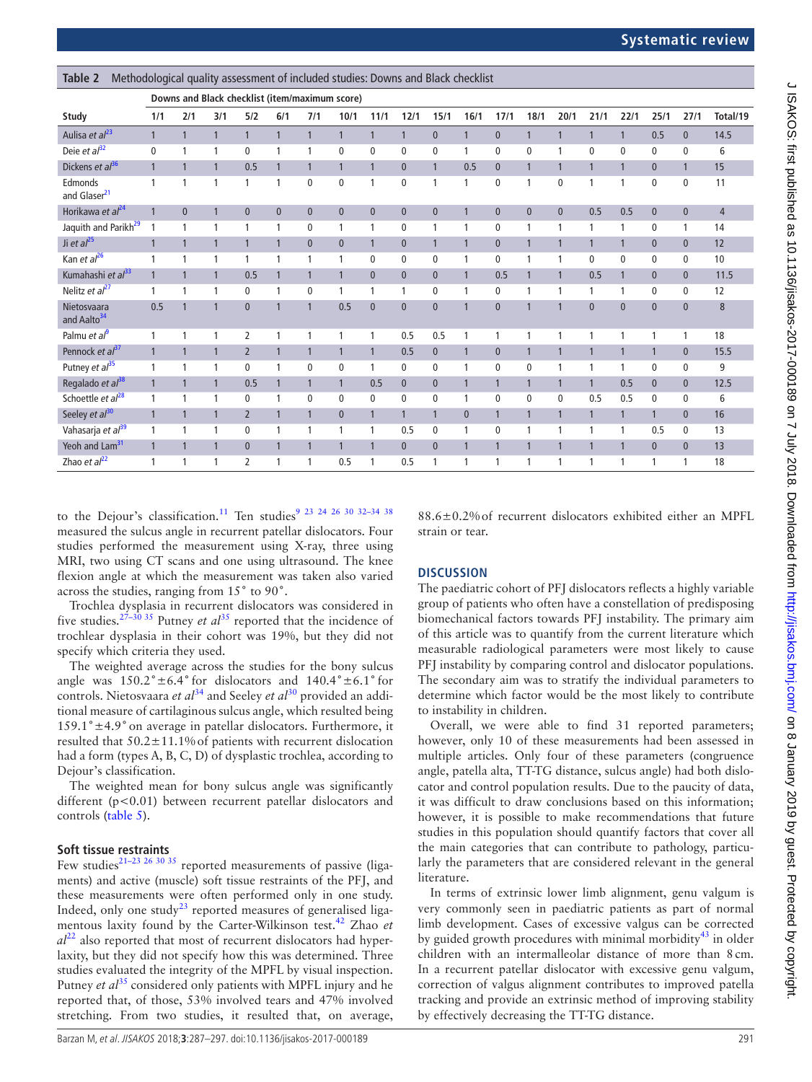<span id="page-4-0"></span>

| Methodological quality assessment of included studies: Downs and Black checklist<br>Table 2 |              |              |              |                |              |              |              |                |                |              |              |              |              |                |              |                |                |              |                |
|---------------------------------------------------------------------------------------------|--------------|--------------|--------------|----------------|--------------|--------------|--------------|----------------|----------------|--------------|--------------|--------------|--------------|----------------|--------------|----------------|----------------|--------------|----------------|
| Downs and Black checklist (item/maximum score)                                              |              |              |              |                |              |              |              |                |                |              |              |              |              |                |              |                |                |              |                |
| Study                                                                                       | 1/1          | 2/1          | 3/1          | 5/2            | 6/1          | 7/1          | 10/1         | 11/1           | 12/1           | 15/1         | 16/1         | 17/1         | 18/1         | 20/1           | 21/1         | 22/1           | 25/1           | 27/1         | Total/19       |
| Aulisa et al <sup>23</sup>                                                                  | $\mathbf{1}$ |              |              | $\mathbf{1}$   |              |              | $\mathbf{1}$ |                |                | $\mathbf{0}$ |              | $\mathbf{0}$ | 1            |                |              |                | 0.5            | $\mathbf{0}$ | 14.5           |
| Deie et $al32$                                                                              | $\mathbf{0}$ |              |              | 0              | 1            |              | 0            | $\mathbf{0}$   | 0              | 0            | 1            | $\mathbf 0$  | $\mathbf{0}$ |                | $\mathbf{0}$ | $\mathbf{0}$   | 0              | $\mathbf{0}$ | 6              |
| Dickens et al <sup>36</sup>                                                                 | $\mathbf{1}$ |              |              | 0.5            |              |              | $\mathbf{1}$ | $\mathbf{1}$   | $\mathbf{0}$   | $\mathbf{1}$ | 0.5          | $\mathbf{0}$ | $\mathbf{1}$ | 1              | 1            |                | $\overline{0}$ | $\mathbf{1}$ | 15             |
| Edmonds<br>and Glaser <sup>21</sup>                                                         | 1            |              | 1            | 1              | 1            | 0            | 0            | $\overline{1}$ | 0              | 1            | 1            | $\mathbf 0$  | 1            | 0              | 1            | 1              | 0              | 0            | 11             |
| Horikawa et al <sup>24</sup>                                                                | $\mathbf{1}$ | $\mathbf{0}$ |              | $\mathbf{0}$   | $\mathbf{0}$ | $\mathbf{0}$ | $\pmb{0}$    | $\mathbf{0}$   | $\overline{0}$ | $\mathbf{0}$ |              | $\mathbf{0}$ | $\mathbf{0}$ | $\overline{0}$ | 0.5          | 0.5            | $\overline{0}$ | $\mathbf{0}$ | $\overline{4}$ |
| Jaquith and Parikh <sup>29</sup>                                                            | 1            |              |              | $\mathbf{1}$   | 1            | 0            | 1            | $\mathbf{1}$   | 0              | $\mathbf{1}$ | 1            | $\mathbf{0}$ | 1            | 1              | 1            | $\mathbf{1}$   | 0              | 1            | 14             |
| Ji et $al^{25}$                                                                             | $\mathbf{1}$ | $\mathbf{1}$ |              | 1              | $\mathbf{1}$ | $\mathbf{0}$ | $\mathbf{0}$ | $\mathbf{1}$   | $\overline{0}$ | $\mathbf{1}$ |              | $\mathbf{0}$ | 1            | 1              | $\mathbf{1}$ | $\mathbf{1}$   | $\overline{0}$ | $\mathbf{0}$ | 12             |
| Kan et $a^{26}$                                                                             | 1            |              | 1            | 1              | 1            |              | 1            | $\mathbf 0$    | 0              | $\mathbf 0$  | 1            | $\mathbf 0$  | 1            | 1              | $\mathbf{0}$ | $\mathbf{0}$   | 0              | $\mathbf{0}$ | 10             |
| Kumahashi et al <sup>33</sup>                                                               | $\mathbf{1}$ | 1            |              | 0.5            | $\mathbf{1}$ | 1            | 1            | $\mathbf{0}$   | $\overline{0}$ | $\mathbf{0}$ | $\mathbf{1}$ | 0.5          | $\mathbf{1}$ | 1              | 0.5          | $\mathbf{1}$   | $\overline{0}$ | $\mathbf{0}$ | 11.5           |
| Nelitz et al <sup>27</sup>                                                                  | 1            | 1            |              | 0              | 1            | 0            | 1            | $\mathbf{1}$   | 1              | $\mathbf 0$  | 1            | 0            | 1            | 1              | 1            | $\mathbf{1}$   | 0              | $\mathbf{0}$ | 12             |
| Nietosvaara<br>and Aalto <sup>34</sup>                                                      | 0.5          |              |              | $\mathbf{0}$   | $\mathbf{1}$ | 1            | 0.5          | $\mathbf{0}$   | $\overline{0}$ | $\bf{0}$     | $\mathbf 1$  | $\mathbf{0}$ | $\mathbf{1}$ | $\mathbf{1}$   | $\mathbf{0}$ | $\overline{0}$ | $\mathbf{0}$   | $\mathbf{0}$ | 8              |
| Palmu et al <sup>9</sup>                                                                    | 1            |              |              | 2              | 1            |              | 1            | 1              | 0.5            | 0.5          |              | 1            | 1            |                | 1            | 1              | 1              | 1            | 18             |
| Pennock et al <sup>37</sup>                                                                 | $\mathbf{1}$ | $\mathbf{1}$ | 1            | $\overline{2}$ | $\mathbf{1}$ | $\mathbf{1}$ | $\mathbf{1}$ | $\mathbf{1}$   | 0.5            | $\mathbf{0}$ | $\mathbf{1}$ | $\mathbf{0}$ | $\mathbf{1}$ | $\mathbf{1}$   | $\mathbf{1}$ | $\mathbf{1}$   | $\mathbf{1}$   | $\mathbf{0}$ | 15.5           |
| Putney et $al^{35}$                                                                         | 1            |              |              | 0              | 1            | 0            | 0            | $\overline{1}$ | 0              | $\mathbf 0$  |              | $\mathbf{0}$ | 0            | 1              | 1            | $\mathbf{1}$   | 0              | 0            | 9              |
| Regalado et al <sup>38</sup>                                                                | $\mathbf{1}$ | $\mathbf{1}$ | $\mathbf{1}$ | 0.5            | $\mathbf{1}$ | $\mathbf{1}$ | $\mathbf{1}$ | 0.5            | $\overline{0}$ | $\mathbf{0}$ | $\mathbf{1}$ | $\mathbf{1}$ | $\mathbf{1}$ | $\mathbf{1}$   | $\mathbf{1}$ | 0.5            | $\overline{0}$ | $\mathbf{0}$ | 12.5           |
| Schoettle et al <sup>28</sup>                                                               | 1            | 1            | 1            | 0              | 1            | $\mathbf{0}$ | $\mathbf 0$  | $\mathbf{0}$   | 0              | $\mathbf{0}$ | 1            | $\mathbf{0}$ | $\mathbf{0}$ | 0              | 0.5          | 0.5            | $\mathbf{0}$   | $\mathbf{0}$ | 6              |
| Seeley et al <sup>30</sup>                                                                  | $\mathbf{1}$ | $\mathbf{1}$ | $\mathbf{1}$ | $\overline{2}$ | $\mathbf{1}$ | $\mathbf{1}$ | $\pmb{0}$    | $\mathbf{1}$   | $\mathbf{1}$   | $\mathbf{1}$ | $\mathbf{0}$ | $\mathbf{1}$ | $\mathbf{1}$ | $\mathbf{1}$   | $\mathbf{1}$ | $\mathbf{1}$   | $\mathbf{1}$   | $\mathbf{0}$ | 16             |
| Vahasarja et al <sup>39</sup>                                                               | 1            |              |              | 0              | 1            |              | 1            | $\overline{1}$ | 0.5            | $\mathbf 0$  | 1            | $\mathbf{0}$ | 1            | 1              | 1            | -1             | 0.5            | 0            | 13             |
| Yeoh and Lam <sup>31</sup>                                                                  | $\mathbf{1}$ | $\mathbf{1}$ | $\mathbf{1}$ | $\pmb{0}$      | $\mathbf{1}$ | 1            | $\mathbf{1}$ | $\mathbf{1}$   | $\overline{0}$ | $\mathbf{0}$ | $\mathbf{1}$ | $\mathbf{1}$ | $\mathbf{1}$ | 1              | $\mathbf{1}$ | $\mathbf{1}$   | $\pmb{0}$      | $\mathbf{0}$ | 13             |
| Zhao et $al^{22}$                                                                           |              |              |              | 2              |              |              | 0.5          |                | 0.5            | 1            |              |              | 1            |                | 1            |                | 1              | 1            | 18             |

to the Dejour's classification.<sup>[11](#page-9-5)</sup> Ten studies<sup>9</sup> <sup>23</sup> <sup>24</sup> <sup>26</sup> <sup>30</sup> <sup>32-34</sup> <sup>38</sup>

measured the sulcus angle in recurrent patellar dislocators. Four studies performed the measurement using X-ray, three using MRI, two using CT scans and one using ultrasound. The knee flexion angle at which the measurement was taken also varied across the studies, ranging from 15˚ to 90˚.

Trochlea dysplasia in recurrent dislocators was considered in five studies.<sup>27–30</sup> <sup>35</sup> Putney *et al*<sup>35</sup> reported that the incidence of trochlear dysplasia in their cohort was 19%, but they did not specify which criteria they used.

The weighted average across the studies for the bony sulcus angle was  $150.2° \pm 6.4°$  for dislocators and  $140.4° \pm 6.1°$  for controls. Nietosvaara *et al*<sup>34</sup> and Seeley *et al*<sup>30</sup> provided an additional measure of cartilaginous sulcus angle, which resulted being  $159.1° \pm 4.9°$  on average in patellar dislocators. Furthermore, it resulted that  $50.2 \pm 11.1\%$  of patients with recurrent dislocation had a form (types A, B, C, D) of dysplastic trochlea, according to Dejour's classification.

The weighted mean for bony sulcus angle was significantly different (p<0.01) between recurrent patellar dislocators and controls ([table](#page-8-1) 5).

# **Soft tissue restraints**

Few studies<sup>21-23 26 30 35</sup> reported measurements of passive (ligaments) and active (muscle) soft tissue restraints of the PFJ, and these measurements were often performed only in one study. Indeed, only one study<sup>23</sup> reported measures of generalised ligamentous laxity found by the Carter-Wilkinson test.[42](#page-10-19) Zhao *et*   $a^{22}$  also reported that most of recurrent dislocators had hyperlaxity, but they did not specify how this was determined. Three studies evaluated the integrity of the MPFL by visual inspection. Putney *et al*<sup>35</sup> considered only patients with MPFL injury and he reported that, of those, 53% involved tears and 47% involved stretching. From two studies, it resulted that, on average,

88.6±0.2%of recurrent dislocators exhibited either an MPFL strain or tear.

# **Discussion**

The paediatric cohort of PFJ dislocators reflects a highly variable group of patients who often have a constellation of predisposing biomechanical factors towards PFJ instability. The primary aim of this article was to quantify from the current literature which measurable radiological parameters were most likely to cause PFJ instability by comparing control and dislocator populations. The secondary aim was to stratify the individual parameters to determine which factor would be the most likely to contribute to instability in children.

Overall, we were able to find 31 reported parameters; however, only 10 of these measurements had been assessed in multiple articles. Only four of these parameters (congruence angle, patella alta, TT-TG distance, sulcus angle) had both dislocator and control population results. Due to the paucity of data, it was difficult to draw conclusions based on this information; however, it is possible to make recommendations that future studies in this population should quantify factors that cover all the main categories that can contribute to pathology, particularly the parameters that are considered relevant in the general literature.

In terms of extrinsic lower limb alignment, genu valgum is very commonly seen in paediatric patients as part of normal limb development. Cases of excessive valgus can be corrected by guided growth procedures with minimal morbidity<sup>43</sup> in older children with an intermalleolar distance of more than 8cm. In a recurrent patellar dislocator with excessive genu valgum, correction of valgus alignment contributes to improved patella tracking and provide an extrinsic method of improving stability by effectively decreasing the TT-TG distance.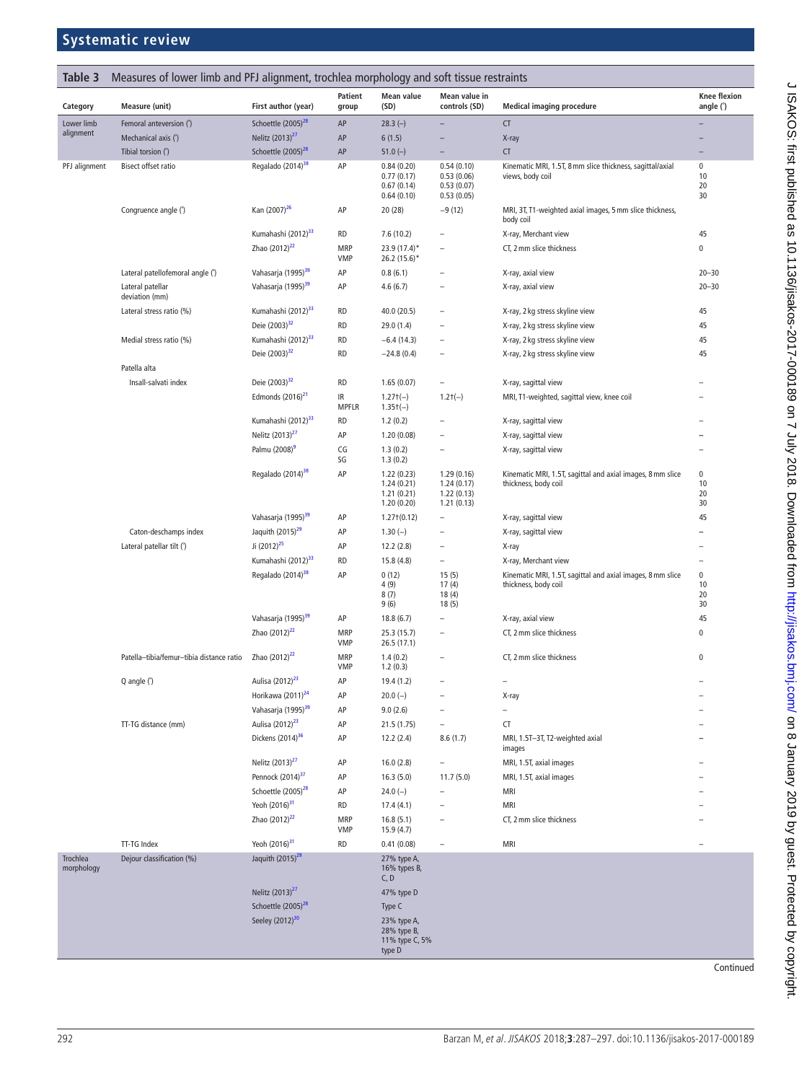<span id="page-5-0"></span>

| Table 3                | Measures of lower limb and PFJ alignment, trochlea morphology and soft tissue restraints |                                |                         |                                                        |                                                      |                                                                                    |                                  |
|------------------------|------------------------------------------------------------------------------------------|--------------------------------|-------------------------|--------------------------------------------------------|------------------------------------------------------|------------------------------------------------------------------------------------|----------------------------------|
| Category               | Measure (unit)                                                                           | First author (year)            | <b>Patient</b><br>group | Mean value<br>(SD)                                     | Mean value in<br>controls (SD)                       | <b>Medical imaging procedure</b>                                                   | <b>Knee flexion</b><br>angle (°) |
| Lower limb             | Femoral anteversion (°)                                                                  | Schoettle $(2005)^{28}$        | AP                      | $28.3 (-)$                                             |                                                      | <b>CT</b>                                                                          |                                  |
| alignment              | Mechanical axis (°)                                                                      | Nelitz (2013) <sup>27</sup>    | AP                      | 6(1.5)                                                 |                                                      | X-ray                                                                              |                                  |
|                        | Tibial torsion (°)                                                                       | Schoettle (2005) <sup>28</sup> | AP                      | $51.0(-)$                                              |                                                      | <b>CT</b>                                                                          |                                  |
| PFJ alignment          | Bisect offset ratio                                                                      | Regalado (2014) <sup>38</sup>  | AP                      | 0.84(0.20)<br>0.77(0.17)<br>0.67(0.14)<br>0.64(0.10)   | 0.54(0.10)<br>0.53(0.06)<br>0.53(0.07)<br>0.53(0.05) | Kinematic MRI, 1.5T, 8 mm slice thickness, sagittal/axial<br>views, body coil      | $\mathbf 0$<br>10<br>20<br>30    |
|                        | Congruence angle (*)                                                                     | Kan (2007) <sup>26</sup>       | AP                      | 20 (28)                                                | $-9(12)$                                             | MRI, 3T, T1-weighted axial images, 5 mm slice thickness,<br>body coil              |                                  |
|                        |                                                                                          | Kumahashi (2012) <sup>33</sup> | <b>RD</b>               | 7.6(10.2)                                              | $\qquad \qquad -$                                    | X-ray, Merchant view                                                               | 45                               |
|                        |                                                                                          | Zhao (2012) <sup>22</sup>      | <b>MRP</b><br>VMP       | $23.9(17.4)$ *<br>26.2 $(15.6)^*$                      | $\equiv$                                             | CT, 2 mm slice thickness                                                           | 0                                |
|                        | Lateral patellofemoral angle (°)                                                         | Vahasarja (1995) <sup>39</sup> | AP                      | 0.8(6.1)                                               |                                                      | X-ray, axial view                                                                  | $20 - 30$                        |
|                        | Lateral patellar<br>deviation (mm)                                                       | Vahasarja (1995) <sup>39</sup> | AP                      | 4.6(6.7)                                               |                                                      | X-ray, axial view                                                                  | $20 - 30$                        |
|                        | Lateral stress ratio (%)                                                                 | Kumahashi (2012) <sup>33</sup> | <b>RD</b>               | 40.0 (20.5)                                            |                                                      | X-ray, 2 kg stress skyline view                                                    | 45                               |
|                        |                                                                                          | Deie (2003) <sup>32</sup>      | <b>RD</b>               | 29.0 (1.4)                                             |                                                      | X-ray, 2 kg stress skyline view                                                    | 45                               |
|                        | Medial stress ratio (%)                                                                  | Kumahashi (2012) <sup>33</sup> | <b>RD</b>               | $-6.4(14.3)$                                           |                                                      | X-ray, 2 kg stress skyline view                                                    | 45                               |
|                        |                                                                                          | Deie (2003) <sup>32</sup>      | <b>RD</b>               | $-24.8(0.4)$                                           |                                                      | X-ray, 2 kg stress skyline view                                                    | 45                               |
|                        | Patella alta                                                                             |                                |                         |                                                        |                                                      |                                                                                    |                                  |
|                        | Insall-salvati index                                                                     | Deie (2003) <sup>32</sup>      | <b>RD</b>               | 1.65(0.07)                                             | $\overline{\phantom{0}}$                             | X-ray, sagittal view                                                               |                                  |
|                        |                                                                                          | Edmonds $(2016)^{21}$          | IR<br><b>MPFLR</b>      | $1.27 + (-)$<br>$1.35+(-)$                             | $1.2^{+(-)}$                                         | MRI, T1-weighted, sagittal view, knee coil                                         |                                  |
|                        |                                                                                          | Kumahashi (2012) <sup>33</sup> | <b>RD</b>               | 1.2(0.2)                                               |                                                      | X-ray, sagittal view                                                               |                                  |
|                        |                                                                                          | Nelitz (2013) <sup>27</sup>    | AP                      | 1.20(0.08)                                             |                                                      | X-ray, sagittal view                                                               |                                  |
|                        |                                                                                          | Palmu (2008) <sup>9</sup>      | CG<br>SG                | 1.3(0.2)<br>1.3(0.2)                                   | $\equiv$                                             | X-ray, sagittal view                                                               | $\overline{\phantom{0}}$         |
|                        |                                                                                          | Regalado (2014) <sup>38</sup>  | AP                      | 1.22(0.23)<br>1.24(0.21)<br>1.21(0.21)<br>1.20 (0.20)  | 1.29(0.16)<br>1.24(0.17)<br>1.22(0.13)<br>1.21(0.13) | Kinematic MRI, 1.5T, sagittal and axial images, 8 mm slice<br>thickness, body coil | 0<br>10<br>20<br>30              |
|                        |                                                                                          | Vahasarja (1995) <sup>39</sup> | АP                      | $1.27+(0.12)$                                          | $\equiv$                                             | X-ray, sagittal view                                                               | 45                               |
|                        | Caton-deschamps index                                                                    | Jaquith $(2015)^{29}$          | AP                      | $1.30(-)$                                              |                                                      | X-ray, sagittal view                                                               |                                  |
|                        | Lateral patellar tilt (°)                                                                | Ji (2012) <sup>25</sup>        | AP                      | 12.2(2.8)                                              | $\equiv$                                             | X-ray                                                                              |                                  |
|                        |                                                                                          | Kumahashi (2012) <sup>33</sup> | <b>RD</b>               | 15.8 (4.8)                                             | $\qquad \qquad -$                                    | X-ray, Merchant view                                                               |                                  |
|                        |                                                                                          | Regalado (2014) <sup>38</sup>  | AP                      | 0(12)<br>4(9)<br>8(7)<br>9(6)                          | 15(5)<br>17(4)<br>18(4)<br>18(5)                     | Kinematic MRI, 1.5T, sagittal and axial images, 8 mm slice<br>thickness, body coil | 0<br>10<br>20<br>30              |
|                        |                                                                                          | Vahasarja (1995) <sup>39</sup> | АP                      | 18.8(6.7)                                              | $\overline{\phantom{0}}$                             | X-ray, axial view                                                                  | 45                               |
|                        |                                                                                          | Zhao (2012) <sup>22</sup>      | <b>MRP</b><br>VMP       | 25.3 (15.7)<br>26.5 (17.1)                             |                                                      | CT, 2 mm slice thickness                                                           | 0                                |
|                        | Patella-tibia/femur-tibia distance ratio                                                 | Zhao (2012) <sup>22</sup>      | <b>MRP</b><br>VMP       | 1.4(0.2)<br>1.2(0.3)                                   |                                                      | CT. 2 mm slice thickness                                                           | 0                                |
|                        | Q angle (°)                                                                              | Aulisa (2012) <sup>23</sup>    | AP                      | 19.4 (1.2)                                             |                                                      | $\overline{a}$                                                                     |                                  |
|                        |                                                                                          | Horikawa (2011) <sup>24</sup>  | AP                      | $20.0(-)$                                              |                                                      | X-ray                                                                              |                                  |
|                        |                                                                                          | Vahasarja (1995) <sup>39</sup> | AP                      | 9.0(2.6)                                               |                                                      | -                                                                                  |                                  |
|                        | TT-TG distance (mm)                                                                      | Aulisa (2012) <sup>23</sup>    | AP                      | 21.5 (1.75)                                            | -                                                    | CT                                                                                 |                                  |
|                        |                                                                                          | Dickens $(2014)^{36}$          | AP                      | 12.2(2.4)                                              | 8.6(1.7)                                             | MRI, 1.5T-3T, T2-weighted axial<br>images                                          |                                  |
|                        |                                                                                          | Nelitz (2013) <sup>27</sup>    | AP                      | 16.0(2.8)                                              | $\overline{\phantom{0}}$                             | MRI, 1.5T, axial images                                                            |                                  |
|                        |                                                                                          | Pennock (2014) <sup>37</sup>   | AP                      | 16.3(5.0)                                              | 11.7(5.0)                                            | MRI, 1.5T, axial images                                                            |                                  |
|                        |                                                                                          | Schoettle (2005) <sup>28</sup> | AP                      | $24.0(-)$                                              | $\overline{\phantom{0}}$                             | MRI                                                                                |                                  |
|                        |                                                                                          | Yeoh (2016) <sup>31</sup>      | <b>RD</b>               | 17.4(4.1)                                              |                                                      | MRI                                                                                |                                  |
|                        |                                                                                          | Zhao (2012) <sup>22</sup>      | <b>MRP</b><br>VMP       | 16.8(5.1)<br>15.9 (4.7)                                |                                                      | CT, 2 mm slice thickness                                                           |                                  |
|                        | TT-TG Index                                                                              | Yeoh (2016) <sup>31</sup>      | <b>RD</b>               | 0.41(0.08)                                             | $\overline{\phantom{0}}$                             | MRI                                                                                |                                  |
| Trochlea<br>morphology | Dejour classification (%)                                                                | Jaquith $(2015)^{29}$          |                         | 27% type A,<br>16% types B,<br>C, D                    |                                                      |                                                                                    |                                  |
|                        |                                                                                          | Nelitz (2013) <sup>27</sup>    |                         | 47% type D                                             |                                                      |                                                                                    |                                  |
|                        |                                                                                          | Schoettle (2005) <sup>28</sup> |                         | Type C                                                 |                                                      |                                                                                    |                                  |
|                        |                                                                                          | Seeley (2012) <sup>30</sup>    |                         | 23% type A,<br>28% type B,<br>11% type C, 5%<br>type D |                                                      |                                                                                    |                                  |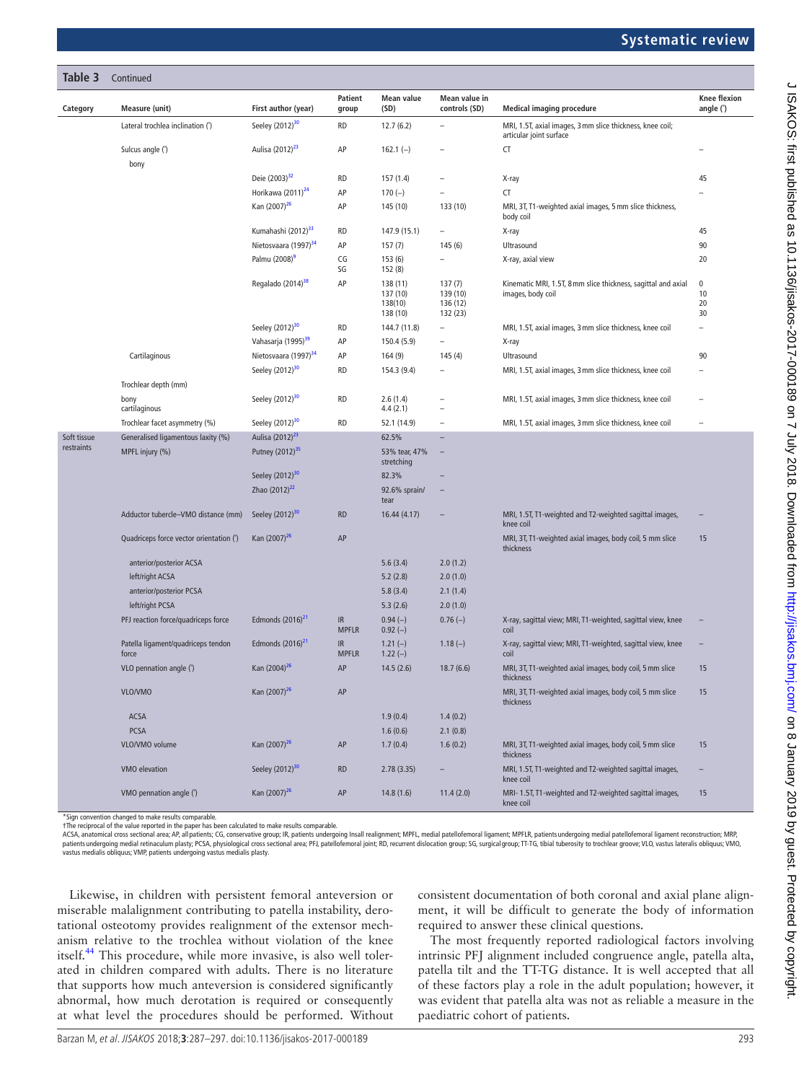| Category    | Measure (unit)                              | First author (year)              | Patient<br>group   | Mean value<br>(SD)                          | Mean value in<br>controls (SD)             | <b>Medical imaging procedure</b>                                                     | <b>Knee flexion</b><br>angle (°) |
|-------------|---------------------------------------------|----------------------------------|--------------------|---------------------------------------------|--------------------------------------------|--------------------------------------------------------------------------------------|----------------------------------|
|             | Lateral trochlea inclination (°)            | Seeley (2012) <sup>30</sup>      | <b>RD</b>          | 12.7(6.2)                                   |                                            | MRI, 1.5T, axial images, 3 mm slice thickness, knee coil;<br>articular joint surface |                                  |
|             | Sulcus angle (°)<br>bony                    | Aulisa (2012) <sup>23</sup>      | AP                 | $162.1(-)$                                  |                                            | CT                                                                                   |                                  |
|             |                                             | Deie (2003) <sup>32</sup>        | <b>RD</b>          | 157 (1.4)                                   |                                            | X-ray                                                                                | 45                               |
|             |                                             | Horikawa (2011) <sup>24</sup>    | AP                 | $170(-)$                                    |                                            | CT                                                                                   |                                  |
|             |                                             | Kan (2007) <sup>26</sup>         | AP                 | 145 (10)                                    | 133 (10)                                   | MRI, 3T, T1-weighted axial images, 5 mm slice thickness,<br>body coil                |                                  |
|             |                                             | Kumahashi (2012) <sup>33</sup>   | <b>RD</b>          | 147.9 (15.1)                                | $\equiv$                                   | X-ray                                                                                | 45                               |
|             |                                             | Nietosvaara (1997) <sup>34</sup> | AP                 | 157(7)                                      | 145(6)                                     | Ultrasound                                                                           | 90                               |
|             |                                             | Palmu (2008) <sup>9</sup>        | C G<br>SG          | 153(6)<br>152 (8)                           | ÷                                          | X-ray, axial view                                                                    | 20                               |
|             |                                             | Regalado (2014) <sup>38</sup>    | AP                 | 138 (11)<br>137 (10)<br>138(10)<br>138 (10) | 137(7)<br>139 (10)<br>136 (12)<br>132 (23) | Kinematic MRI, 1.5T, 8 mm slice thickness, sagittal and axial<br>images, body coil   | $\pmb{0}$<br>10<br>20<br>30      |
|             |                                             | Seeley (2012) <sup>30</sup>      | <b>RD</b>          | 144.7 (11.8)                                | $\equiv$                                   | MRI, 1.5T, axial images, 3 mm slice thickness, knee coil                             |                                  |
|             |                                             | Vahasarja (1995) <sup>39</sup>   | AP                 | 150.4 (5.9)                                 |                                            | X-ray                                                                                |                                  |
|             | Cartilaginous                               | Nietosvaara (1997) <sup>34</sup> | AP                 | 164(9)                                      | 145(4)                                     | Ultrasound                                                                           | 90                               |
|             | Trochlear depth (mm)                        | Seeley (2012) <sup>30</sup>      | <b>RD</b>          | 154.3 (9.4)                                 |                                            | MRI, 1.5T, axial images, 3 mm slice thickness, knee coil                             |                                  |
|             | bony<br>cartilaginous                       | Seeley (2012) <sup>30</sup>      | <b>RD</b>          | 2.6(1.4)<br>4.4 (2.1)                       |                                            | MRI, 1.5T, axial images, 3 mm slice thickness, knee coil                             |                                  |
|             | Trochlear facet asymmetry (%)               | Seeley (2012) <sup>30</sup>      | <b>RD</b>          | 52.1 (14.9)                                 | $\overline{a}$                             | MRI, 1.5T, axial images, 3 mm slice thickness, knee coil                             | $\overline{\phantom{0}}$         |
| Soft tissue | Generalised ligamentous laxity (%)          | Aulisa (2012) <sup>23</sup>      |                    | 62.5%                                       |                                            |                                                                                      |                                  |
| restraints  | MPFL injury (%)                             | Putney (2012) <sup>35</sup>      |                    | 53% tear, 47%<br>stretching                 |                                            |                                                                                      |                                  |
|             |                                             | Seeley (2012) <sup>30</sup>      |                    | 82.3%                                       |                                            |                                                                                      |                                  |
|             |                                             | Zhao (2012) <sup>22</sup>        |                    | 92.6% sprain/<br>tear                       |                                            |                                                                                      |                                  |
|             | Adductor tubercle-VMO distance (mm)         | Seeley (2012) <sup>30</sup>      | <b>RD</b>          | 16.44 (4.17)                                |                                            | MRI, 1.5T, T1-weighted and T2-weighted sagittal images,<br>knee coil                 |                                  |
|             | Quadriceps force vector orientation (")     | Kan (2007) <sup>26</sup>         | AP                 |                                             |                                            | MRI, 3T, T1-weighted axial images, body coil, 5 mm slice<br>thickness                | 15                               |
|             | anterior/posterior ACSA                     |                                  |                    | 5.6(3.4)                                    | 2.0(1.2)                                   |                                                                                      |                                  |
|             | left/right ACSA                             |                                  |                    | 5.2(2.8)                                    | 2.0(1.0)                                   |                                                                                      |                                  |
|             | anterior/posterior PCSA                     |                                  |                    | 5.8(3.4)                                    | 2.1(1.4)                                   |                                                                                      |                                  |
|             | left/right PCSA                             |                                  |                    | 5.3(2.6)                                    | 2.0(1.0)                                   |                                                                                      |                                  |
|             | PFJ reaction force/quadriceps force         | Edmonds $(2016)^{21}$            | IR<br><b>MPFLR</b> | $0.94(-)$<br>$0.92(-)$                      | $0.76(-)$                                  | X-ray, sagittal view; MRI, T1-weighted, sagittal view, knee<br>coil                  |                                  |
|             | Patella ligament/quadriceps tendon<br>force | Edmonds $(2016)^{21}$            | IR<br><b>MPFLR</b> | $1.21(-)$<br>$1.22(-)$                      | $1.18(-)$                                  | X-ray, sagittal view; MRI, T1-weighted, sagittal view, knee<br>coil                  | ÷                                |
|             | VLO pennation angle (°)                     | Kan (2004) <sup>26</sup>         | AP                 | 14.5(2.6)                                   | 18.7(6.6)                                  | MRI, 3T, T1-weighted axial images, body coil, 5 mm slice<br>thickness                | 15                               |
|             | VLO/VMO                                     | Kan (2007) <sup>26</sup>         | AP                 |                                             |                                            | MRI, 3T, T1-weighted axial images, body coil, 5 mm slice<br>thickness                | 15                               |
|             | ACSA                                        |                                  |                    | 1.9(0.4)                                    | 1.4(0.2)                                   |                                                                                      |                                  |
|             | <b>PCSA</b>                                 |                                  |                    | 1.6(0.6)                                    | 2.1(0.8)                                   |                                                                                      |                                  |
|             | VLO/VMO volume                              | Kan (2007) <sup>26</sup>         | AP                 | 1.7(0.4)                                    | 1.6(0.2)                                   | MRI, 3T, T1-weighted axial images, body coil, 5 mm slice<br>thickness                | 15                               |
|             | VMO elevation                               | Seeley (2012) <sup>30</sup>      | <b>RD</b>          | 2.78(3.35)                                  |                                            | MRI, 1.5T, T1-weighted and T2-weighted sagittal images,<br>knee coil                 |                                  |
|             | VMO pennation angle (°)                     | Kan (2007) <sup>26</sup>         | AP                 | 14.8(1.6)                                   | 11.4(2.0)                                  | MRI-1.5T, T1-weighted and T2-weighted sagittal images,<br>knee coil                  | 15                               |

\*Sign convention changed to make results comparable.

**Table 3** Continued

†The reciprocal of the value reported in the paper has been calculated to make results comparable.

ACSA, anatomical cross sectional area; AP, all patients; CG, conservative group; IR, patients undergoing Insall realignment; MPFL, medial patellofemoral ligament; MPFLR, patients undergoing medial patellofemoral ligament r vastus medialis obliquus; VMP, patients undergoing vastus medialis plasty.

Likewise, in children with persistent femoral anteversion or miserable malalignment contributing to patella instability, derotational osteotomy provides realignment of the extensor mechanism relative to the trochlea without violation of the knee itself.<sup>[44](#page-10-21)</sup> This procedure, while more invasive, is also well tolerated in children compared with adults. There is no literature that supports how much anteversion is considered significantly abnormal, how much derotation is required or consequently at what level the procedures should be performed. Without

consistent documentation of both coronal and axial plane alignment, it will be difficult to generate the body of information required to answer these clinical questions.

The most frequently reported radiological factors involving intrinsic PFJ alignment included congruence angle, patella alta, patella tilt and the TT-TG distance. It is well accepted that all of these factors play a role in the adult population; however, it was evident that patella alta was not as reliable a measure in the paediatric cohort of patients.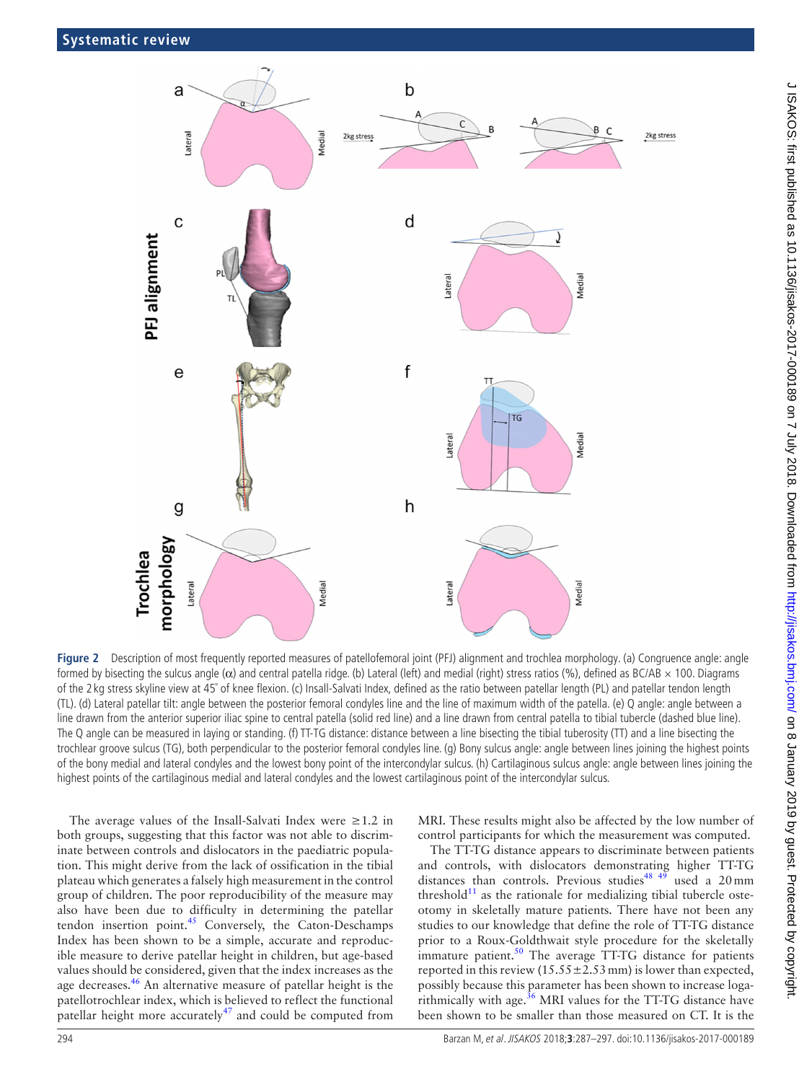

<span id="page-7-0"></span>**Figure 2** Description of most frequently reported measures of patellofemoral joint (PFJ) alignment and trochlea morphology. (a) Congruence angle: angle formed by bisecting the sulcus angle  $(\alpha)$  and central patella ridge. (b) Lateral (left) and medial (right) stress ratios (%), defined as BC/AB  $\times$  100. Diagrams of the 2 kg stress skyline view at 45˚ of knee flexion. (c) Insall-Salvati Index, defined as the ratio between patellar length (PL) and patellar tendon length (TL). (d) Lateral patellar tilt: angle between the posterior femoral condyles line and the line of maximum width of the patella. (e) Q angle: angle between a line drawn from the anterior superior iliac spine to central patella (solid red line) and a line drawn from central patella to tibial tubercle (dashed blue line). The Q angle can be measured in laying or standing. (f) TT-TG distance: distance between a line bisecting the tibial tuberosity (TT) and a line bisecting the trochlear groove sulcus (TG), both perpendicular to the posterior femoral condyles line. (g) Bony sulcus angle: angle between lines joining the highest points of the bony medial and lateral condyles and the lowest bony point of the intercondylar sulcus. (h) Cartilaginous sulcus angle: angle between lines joining the highest points of the cartilaginous medial and lateral condyles and the lowest cartilaginous point of the intercondylar sulcus.

The average values of the Insall-Salvati Index were  $\geq 1.2$  in both groups, suggesting that this factor was not able to discriminate between controls and dislocators in the paediatric population. This might derive from the lack of ossification in the tibial plateau which generates a falsely high measurement in the control group of children. The poor reproducibility of the measure may also have been due to difficulty in determining the patellar tendon insertion point. $45$  Conversely, the Caton-Deschamps Index has been shown to be a simple, accurate and reproducible measure to derive patellar height in children, but age-based values should be considered, given that the index increases as the age decreases.<sup>46</sup> An alternative measure of patellar height is the patellotrochlear index, which is believed to reflect the functional patellar height more accurately<sup>[47](#page-10-24)</sup> and could be computed from

MRI. These results might also be affected by the low number of control participants for which the measurement was computed.

The TT-TG distance appears to discriminate between patients and controls, with dislocators demonstrating higher TT-TG distances than controls. Previous studies<sup>[48 49](#page-10-25)</sup> used a 20 mm threshold<sup>11</sup> as the rationale for medializing tibial tubercle osteotomy in skeletally mature patients. There have not been any studies to our knowledge that define the role of TT-TG distance prior to a Roux-Goldthwait style procedure for the skeletally immature patient. $50$  The average TT-TG distance for patients reported in this review  $(15.55 \pm 2.53 \text{ mm})$  is lower than expected, possibly because this parameter has been shown to increase logarithmically with age.<sup>36</sup> MRI values for the TT-TG distance have been shown to be smaller than those measured on CT. It is the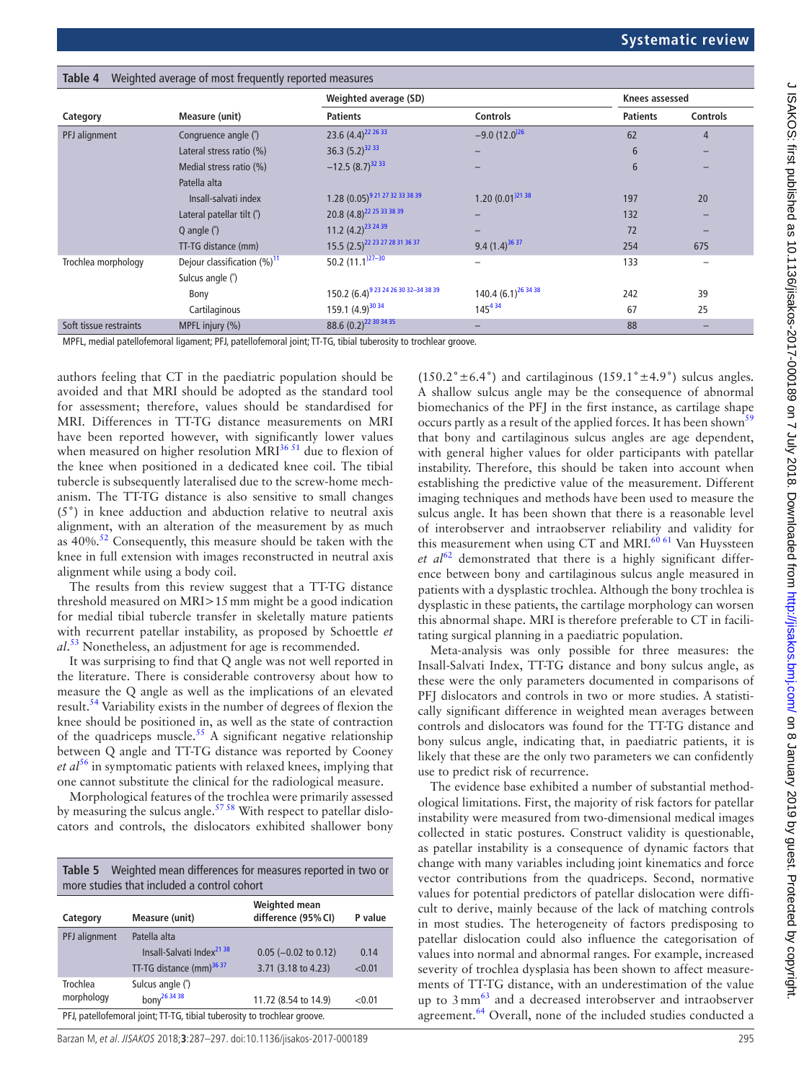| <b>Table 1 Preighted average of most hegaemy reported measures</b> |                                            |                                                             |                                |                 |                 |  |  |  |
|--------------------------------------------------------------------|--------------------------------------------|-------------------------------------------------------------|--------------------------------|-----------------|-----------------|--|--|--|
|                                                                    |                                            | Weighted average (SD)                                       |                                | Knees assessed  |                 |  |  |  |
| Category                                                           | Measure (unit)                             | <b>Patients</b>                                             | Controls                       | <b>Patients</b> | <b>Controls</b> |  |  |  |
| PFJ alignment                                                      | Congruence angle (°)                       | 23.6 $(4.4)^{22.26.33}$                                     | $-9.0(12.0)^{26}$              | 62              | $\overline{4}$  |  |  |  |
|                                                                    | Lateral stress ratio (%)                   | 36.3 $(5.2)^{32.33}$                                        |                                | 6               |                 |  |  |  |
|                                                                    | Medial stress ratio (%)                    | $-12.5(8.7)^{32.33}$                                        |                                | 6               |                 |  |  |  |
|                                                                    | Patella alta                               |                                                             |                                |                 |                 |  |  |  |
|                                                                    | Insall-salvati index                       | $1.28(0.05)^{9.21.27.32.33.38.39}$                          | $1.20 (0.01)$ <sup>21 38</sup> | 197             | 20              |  |  |  |
|                                                                    | Lateral patellar tilt (°)                  | 20.8 (4.8) <sup>22 25</sup> 33 38 39                        |                                | 132             |                 |  |  |  |
|                                                                    | Q angle $(°)$                              | 11.2 $(4.2)^{23.24.39}$                                     |                                | 72              |                 |  |  |  |
|                                                                    | TT-TG distance (mm)                        | $15.5 (2.5)^{22}$ 23 27 28 31 36 37                         | $9.4 (1.4)^{36.37}$            | 254             | 675             |  |  |  |
| Trochlea morphology                                                | Dejour classification $(\%)$ <sup>11</sup> | 50.2 $(11.1)^{27-30}$                                       |                                | 133             |                 |  |  |  |
|                                                                    | Sulcus angle (°)                           |                                                             |                                |                 |                 |  |  |  |
|                                                                    | Bony                                       | 150.2 (6.4) <sup>9 23</sup> <sup>24</sup> 26 30 32-34 38 39 | 140.4 $(6.1)^{26}$ 3438        | 242             | 39              |  |  |  |
|                                                                    | Cartilaginous                              | 159.1 $(4.9)^{30.34}$                                       | $145^{434}$                    | 67              | 25              |  |  |  |
| Soft tissue restraints                                             | MPFL injury (%)                            | 88.6 (0.2) <sup>22 30</sup> 34 35                           |                                | 88              |                 |  |  |  |

MPFL, medial patellofemoral ligament; PFJ, patellofemoral joint; TT-TG, tibial tuberosity to trochlear groove.

authors feeling that CT in the paediatric population should be avoided and that MRI should be adopted as the standard tool for assessment; therefore, values should be standardised for MRI. Differences in TT-TG distance measurements on MRI have been reported however, with significantly lower values when measured on higher resolution  $MRI<sup>36 51</sup>$  $MRI<sup>36 51</sup>$  $MRI<sup>36 51</sup>$  due to flexion of the knee when positioned in a dedicated knee coil. The tibial tubercle is subsequently lateralised due to the screw-home mechanism. The TT-TG distance is also sensitive to small changes (5˚) in knee adduction and abduction relative to neutral axis alignment, with an alteration of the measurement by as much as 40%.[52](#page-10-27) Consequently, this measure should be taken with the knee in full extension with images reconstructed in neutral axis alignment while using a body coil.

<span id="page-8-0"></span>**Table 4** Weighted average of most frequently reported measure

The results from this review suggest that a TT-TG distance threshold measured on MRI>15mm might be a good indication for medial tibial tubercle transfer in skeletally mature patients with recurrent patellar instability, as proposed by Schoettle *et al*. [53](#page-10-28) Nonetheless, an adjustment for age is recommended.

It was surprising to find that Q angle was not well reported in the literature. There is considerable controversy about how to measure the Q angle as well as the implications of an elevated result.<sup>54</sup> Variability exists in the number of degrees of flexion the knee should be positioned in, as well as the state of contraction of the quadriceps muscle. $55$  A significant negative relationship between Q angle and TT-TG distance was reported by Cooney *et al*[56](#page-10-31) in symptomatic patients with relaxed knees, implying that one cannot substitute the clinical for the radiological measure.

Morphological features of the trochlea were primarily assessed by measuring the sulcus angle.<sup>57 58</sup> With respect to patellar dislocators and controls, the dislocators exhibited shallower bony

<span id="page-8-1"></span>

| Weighted mean differences for measures reported in two or<br>Table 5<br>more studies that included a control cohort |                                       |                                      |         |  |  |  |  |  |
|---------------------------------------------------------------------------------------------------------------------|---------------------------------------|--------------------------------------|---------|--|--|--|--|--|
| Category                                                                                                            | Measure (unit)                        | Weighted mean<br>difference (95% CI) | P value |  |  |  |  |  |
| PFJ alignment                                                                                                       | Patella alta                          |                                      |         |  |  |  |  |  |
|                                                                                                                     | Insall-Salvati Index <sup>21</sup> 38 | $0.05$ (-0.02 to 0.12)               | 0.14    |  |  |  |  |  |
|                                                                                                                     | TT-TG distance (mm) <sup>36</sup> 37  | 3.71 (3.18 to 4.23)                  | < 0.01  |  |  |  |  |  |
| Trochlea                                                                                                            | Sulcus angle (°)                      |                                      |         |  |  |  |  |  |
| morphology                                                                                                          | bony <sup>26</sup> 34 38              | 11.72 (8.54 to 14.9)                 | < 0.01  |  |  |  |  |  |
| PFJ, patellofemoral joint; TT-TG, tibial tuberosity to trochlear groove.                                            |                                       |                                      |         |  |  |  |  |  |

Barzan M, et al. JISAKOS 2018;**3**:287–297. doi:10.1136/jisakos-2017-000189 295

 $(150.2°±6.4°)$  and cartilaginous  $(159.1°±4.9°)$  sulcus angles. A shallow sulcus angle may be the consequence of abnormal biomechanics of the PFJ in the first instance, as cartilage shape occurs partly as a result of the applied forces. It has been shown<sup>[59](#page-10-33)</sup> that bony and cartilaginous sulcus angles are age dependent, with general higher values for older participants with patellar instability. Therefore, this should be taken into account when establishing the predictive value of the measurement. Different imaging techniques and methods have been used to measure the sulcus angle. It has been shown that there is a reasonable level of interobserver and intraobserver reliability and validity for this measurement when using CT and MRI.<sup>[60 61](#page-10-34)</sup> Van Huyssteen *et*  $al^{62}$  demonstrated that there is a highly significant difference between bony and cartilaginous sulcus angle measured in patients with a dysplastic trochlea. Although the bony trochlea is dysplastic in these patients, the cartilage morphology can worsen this abnormal shape. MRI is therefore preferable to CT in facilitating surgical planning in a paediatric population.

Meta-analysis was only possible for three measures: the Insall-Salvati Index, TT-TG distance and bony sulcus angle, as these were the only parameters documented in comparisons of PFJ dislocators and controls in two or more studies. A statistically significant difference in weighted mean averages between controls and dislocators was found for the TT-TG distance and bony sulcus angle, indicating that, in paediatric patients, it is likely that these are the only two parameters we can confidently use to predict risk of recurrence.

The evidence base exhibited a number of substantial methodological limitations. First, the majority of risk factors for patellar instability were measured from two-dimensional medical images collected in static postures. Construct validity is questionable, as patellar instability is a consequence of dynamic factors that change with many variables including joint kinematics and force vector contributions from the quadriceps. Second, normative values for potential predictors of patellar dislocation were difficult to derive, mainly because of the lack of matching controls in most studies. The heterogeneity of factors predisposing to patellar dislocation could also influence the categorisation of values into normal and abnormal ranges. For example, increased severity of trochlea dysplasia has been shown to affect measurements of TT-TG distance, with an underestimation of the value up to 3 mm<sup>[63](#page-10-36)</sup> and a decreased interobserver and intraobserver agreement.<sup>64</sup> Overall, none of the included studies conducted a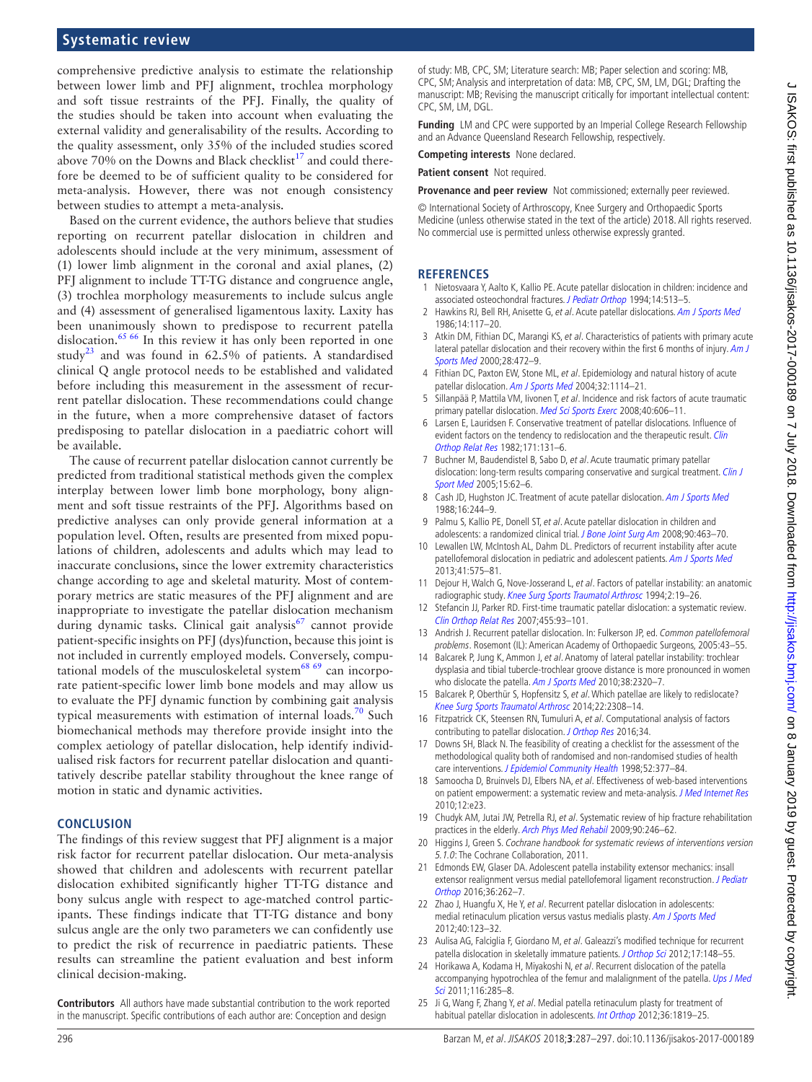# **Systematic review**

comprehensive predictive analysis to estimate the relationship between lower limb and PFJ alignment, trochlea morphology and soft tissue restraints of the PFJ. Finally, the quality of the studies should be taken into account when evaluating the external validity and generalisability of the results. According to the quality assessment, only 35% of the included studies scored above  $70\%$  on the Downs and Black checklist<sup>[17](#page-9-8)</sup> and could therefore be deemed to be of sufficient quality to be considered for meta-analysis. However, there was not enough consistency between studies to attempt a meta-analysis.

Based on the current evidence, the authors believe that studies reporting on recurrent patellar dislocation in children and adolescents should include at the very minimum, assessment of (1) lower limb alignment in the coronal and axial planes, (2) PFJ alignment to include TT-TG distance and congruence angle, (3) trochlea morphology measurements to include sulcus angle and (4) assessment of generalised ligamentous laxity. Laxity has been unanimously shown to predispose to recurrent patella dislocation.<sup>65 66</sup> In this review it has only been reported in one study<sup>[23](#page-9-14)</sup> and was found in  $62.5\%$  of patients. A standardised clinical Q angle protocol needs to be established and validated before including this measurement in the assessment of recurrent patellar dislocation. These recommendations could change in the future, when a more comprehensive dataset of factors predisposing to patellar dislocation in a paediatric cohort will be available.

The cause of recurrent patellar dislocation cannot currently be predicted from traditional statistical methods given the complex interplay between lower limb bone morphology, bony alignment and soft tissue restraints of the PFJ. Algorithms based on predictive analyses can only provide general information at a population level. Often, results are presented from mixed populations of children, adolescents and adults which may lead to inaccurate conclusions, since the lower extremity characteristics change according to age and skeletal maturity. Most of contemporary metrics are static measures of the PFJ alignment and are inappropriate to investigate the patellar dislocation mechanism during dynamic tasks. Clinical gait analysis<sup>67</sup> cannot provide patient-specific insights on PFJ (dys)function, because this joint is not included in currently employed models. Conversely, computational models of the musculoskeletal system $^{68}$  69 can incorporate patient-specific lower limb bone models and may allow us to evaluate the PFJ dynamic function by combining gait analysis typical measurements with estimation of internal loads.<sup>70</sup> Such biomechanical methods may therefore provide insight into the complex aetiology of patellar dislocation, help identify individualised risk factors for recurrent patellar dislocation and quantitatively describe patellar stability throughout the knee range of motion in static and dynamic activities.

#### **Conclusion**

The findings of this review suggest that PFJ alignment is a major risk factor for recurrent patellar dislocation. Our meta-analysis showed that children and adolescents with recurrent patellar dislocation exhibited significantly higher TT-TG distance and bony sulcus angle with respect to age-matched control participants. These findings indicate that TT-TG distance and bony sulcus angle are the only two parameters we can confidently use to predict the risk of recurrence in paediatric patients. These results can streamline the patient evaluation and best inform clinical decision-making.

**Contributors** All authors have made substantial contribution to the work reported in the manuscript. Specific contributions of each author are: Conception and design

of study: MB, CPC, SM; Literature search: MB; Paper selection and scoring: MB, CPC, SM; Analysis and interpretation of data: MB, CPC, SM, LM, DGL; Drafting the manuscript: MB; Revising the manuscript critically for important intellectual content: CPC, SM, LM, DGL.

**Funding** LM and CPC were supported by an Imperial College Research Fellowship and an Advance Queensland Research Fellowship, respectively.

**Competing interests** None declared.

**Patient consent** Not required.

**Provenance and peer review** Not commissioned; externally peer reviewed.

© International Society of Arthroscopy, Knee Surgery and Orthopaedic Sports Medicine (unless otherwise stated in the text of the article) 2018. All rights reserved. No commercial use is permitted unless otherwise expressly granted.

#### **References**

- <span id="page-9-0"></span>1 Nietosvaara Y, Aalto K, Kallio PE. Acute patellar dislocation in children: incidence and associated osteochondral fractures. [J Pediatr Orthop](http://dx.doi.org/10.1097/01241398-199407000-00018) 1994;14:513-5.
- <span id="page-9-1"></span>2 Hawkins RJ, Bell RH, Anisette G, et al. Acute patellar dislocations. [Am J Sports Med](http://dx.doi.org/10.1177/036354658601400204) 1986;14:117–20.
- 3 Atkin DM, Fithian DC, Marangi KS, et al. Characteristics of patients with primary acute lateral patellar dislocation and their recovery within the first 6 months of injury. Am J [Sports Med](http://dx.doi.org/10.1177/03635465000280040601) 2000;28:472–9.
- <span id="page-9-6"></span>4 Fithian DC, Paxton EW, Stone ML, et al. Epidemiology and natural history of acute patellar dislocation. [Am J Sports Med](http://dx.doi.org/10.1177/0363546503260788) 2004;32:1114-21.
- 5 Sillanpää P, Mattila VM, Iivonen T, et al. Incidence and risk factors of acute traumatic primary patellar dislocation. [Med Sci Sports Exerc](http://dx.doi.org/10.1249/MSS.0b013e318160740f) 2008;40:606-11.
- <span id="page-9-2"></span>6 Larsen E, Lauridsen F. Conservative treatment of patellar dislocations. Influence of evident factors on the tendency to redislocation and the therapeutic result. Clin [Orthop Relat Res](http://www.ncbi.nlm.nih.gov/pubmed/7140059) 1982;171:131–6.
- 7 Buchner M, Baudendistel B, Sabo D, et al. Acute traumatic primary patellar dislocation: long-term results comparing conservative and surgical treatment. Clin J [Sport Med](http://www.ncbi.nlm.nih.gov/pubmed/15782048) 2005;15:62–6.
- <span id="page-9-3"></span>8 Cash JD, Hughston JC. Treatment of acute patellar dislocation. [Am J Sports Med](http://dx.doi.org/10.1177/036354658801600308) 1988;16:244–9.
- <span id="page-9-4"></span>9 Palmu S, Kallio PE, Donell ST, et al. Acute patellar dislocation in children and adolescents: a randomized clinical trial. [J Bone Joint Surg Am](http://dx.doi.org/10.2106/JBJS.G.00072) 2008;90:463-70.
- 10 Lewallen LW, McIntosh AL, Dahm DL. Predictors of recurrent instability after acute patellofemoral dislocation in pediatric and adolescent patients. [Am J Sports Med](http://dx.doi.org/10.1177/0363546512472873) 2013;41:575–81.
- <span id="page-9-5"></span>11 Dejour H, Walch G, Nove-Josserand L, et al. Factors of patellar instability: an anatomic radiographic study. [Knee Surg Sports Traumatol Arthrosc](http://dx.doi.org/10.1007/BF01552649) 1994;2:19–26.
- 12 Stefancin JJ, Parker RD. First-time traumatic patellar dislocation: a systematic review. [Clin Orthop Relat Res](http://dx.doi.org/10.1097/BLO.0b013e31802eb40a) 2007;455:93–101.
- 13 Andrish J. Recurrent patellar dislocation. In: Fulkerson JP, ed. Common patellofemoral problems. Rosemont (IL): American Academy of Orthopaedic Surgeons, 2005:43–55.
- 14 Balcarek P, Jung K, Ammon J, et al. Anatomy of lateral patellar instability: trochlear dysplasia and tibial tubercle-trochlear groove distance is more pronounced in women who dislocate the patella. [Am J Sports Med](http://dx.doi.org/10.1177/0363546510373887) 2010;38:2320-7.
- 15 Balcarek P, Oberthür S, Hopfensitz S, et al. Which patellae are likely to redislocate? [Knee Surg Sports Traumatol Arthrosc](http://dx.doi.org/10.1007/s00167-013-2650-5) 2014;22:2308–14.
- <span id="page-9-7"></span>16 Fitzpatrick CK, Steensen RN, Tumuluri A, et al. Computational analysis of factors contributing to patellar dislocation. [J Orthop Res](http://dx.doi.org/10.1002/jor.23041) 2016;34.
- <span id="page-9-8"></span>17 Downs SH, Black N. The feasibility of creating a checklist for the assessment of the methodological quality both of randomised and non-randomised studies of health care interventions. [J Epidemiol Community Health](http://dx.doi.org/10.1136/jech.52.6.377) 1998;52:377-84.
- <span id="page-9-9"></span>18 Samoocha D, Bruinvels DJ, Elbers NA, et al. Effectiveness of web-based interventions on patient empowerment: a systematic review and meta-analysis. [J Med Internet Res](http://dx.doi.org/10.2196/jmir.1286) 2010;12:e23.
- 19 Chudyk AM, Jutai JW, Petrella RJ, et al. Systematic review of hip fracture rehabilitation practices in the elderly. [Arch Phys Med Rehabil](http://dx.doi.org/10.1016/j.apmr.2008.06.036) 2009;90:246–62.
- <span id="page-9-10"></span>20 Higgins J, Green S. Cochrane handbook for systematic reviews of interventions version 5.1.0: The Cochrane Collaboration, 2011.
- <span id="page-9-11"></span>21 Edmonds EW, Glaser DA. Adolescent patella instability extensor mechanics: insall extensor realignment versus medial patellofemoral ligament reconstruction. J Pediatr [Orthop](http://dx.doi.org/10.1097/BPO.0000000000000430) 2016;36:262–7.
- <span id="page-9-13"></span>22 Zhao J, Huangfu X, He Y, et al. Recurrent patellar dislocation in adolescents: medial retinaculum plication versus vastus medialis plasty. [Am J Sports Med](http://dx.doi.org/10.1177/0363546511420551) 2012;40:123–32.
- <span id="page-9-14"></span>23 Aulisa AG, Falciglia F, Giordano M, et al. Galeazzi's modified technique for recurrent patella dislocation in skeletally immature patients. [J Orthop Sci](http://dx.doi.org/10.1007/s00776-011-0189-1) 2012;17:148-55.
- <span id="page-9-12"></span>24 Horikawa A, Kodama H, Miyakoshi N, et al. Recurrent dislocation of the patella accompanying hypotrochlea of the femur and malalignment of the patella. Ups J Med [Sci](http://dx.doi.org/10.3109/03009734.2011.596291) 2011;116:285-8.
- <span id="page-9-15"></span>25 Ji G, Wang F, Zhang Y, et al. Medial patella retinaculum plasty for treatment of habitual patellar dislocation in adolescents. *[Int Orthop](http://dx.doi.org/10.1007/s00264-012-1544-3)* 2012;36:1819-25.